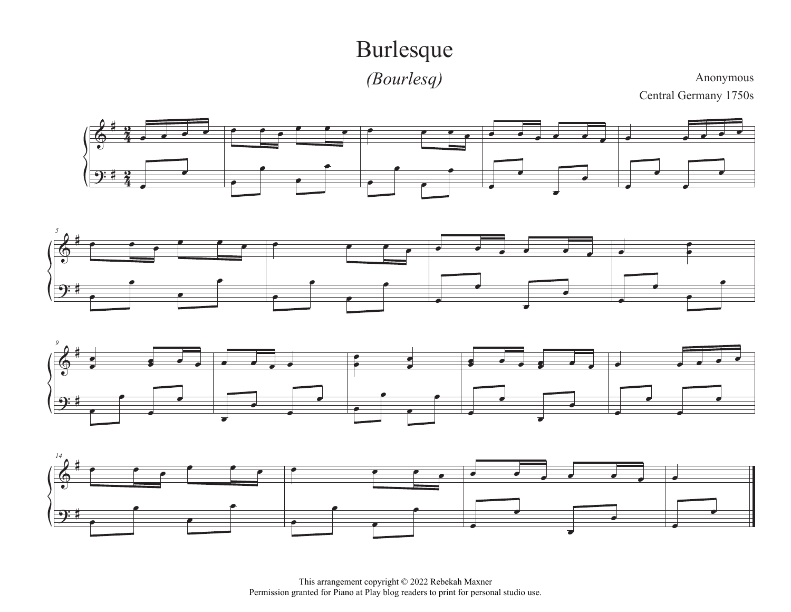## Burlesque

*(Bourlesq)*

Anonymous

Central Germany 1750s









This arrangement copyright © 2022 Rebekah Maxner Permission granted for Piano at Play blog readers to print for personal studio use.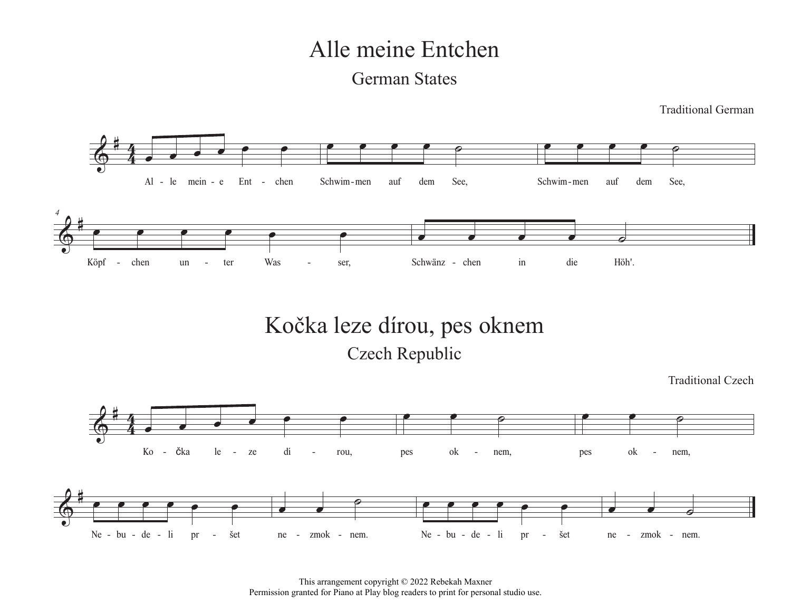# Alle meine Entchen

#### German States

Traditional German

Traditional Czech



### Kočka leze dírou, pes oknem Czech Republic

 $\frac{2}{9}$  $\frac{4}{3}$  $\overline{\mathbf{A}}$  $\overline{\phantom{a}}$ Ko - čka le - ze dí - rou,  $\bullet$   $\bullet$   $\circ$ pes ok nem,  $\bullet$   $\bullet$   $\circ$ - čka le - ze dí - rou, bes ok - nem, bes ok - nem,  $6$  in the set of  $\sim$ Ne - bu - de - li pr - šet  $\overline{\phantom{a}}$  $\overline{\mathcal{C}}$ ne - zmok - nem.  $\overline{\phantom{a}}$ - bu - de - li pr - šet ne - zmok - nem. Ne - bu - de - li pr - šet ne - zmok - nem.  $\bullet$   $\bullet$   $\circ$ 

> This arrangement copyright © 2022 Rebekah Maxner Permission granted for Piano at Play blog readers to print for personal studio use.